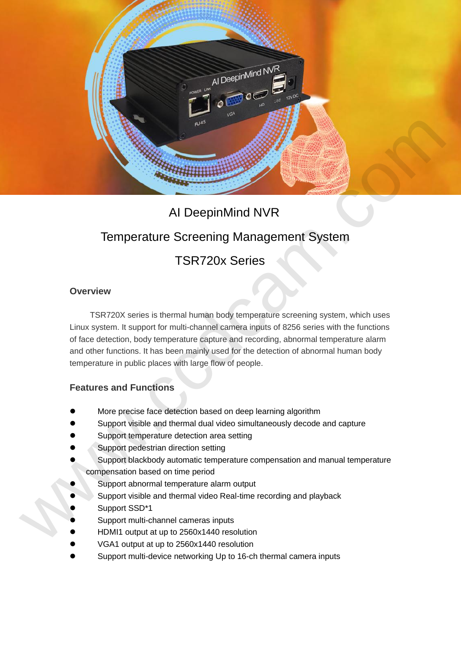

## AI DeepinMind NVR

# Temperature Screening Management System

### TSR720x Series

#### **Overview**

TSR720X series is thermal human body temperature screening system, which uses Linux system. It support for multi-channel camera inputs of 8256 series with the functions of face detection, body temperature capture and recording, abnormal temperature alarm and other functions. It has been mainly used for the detection of abnormal human body temperature in public places with large flow of people.

#### **Features and Functions**

- More precise face detection based on deep learning algorithm
- Support visible and thermal dual video simultaneously decode and capture
- Support temperature detection area setting
- Support pedestrian direction setting
- Support blackbody automatic temperature compensation and manual temperature compensation based on time period
- Support abnormal temperature alarm output
- Support visible and thermal video Real-time recording and playback
- Support SSD\*1
- Support multi-channel cameras inputs
- HDMI1 output at up to 2560x1440 resolution
- VGA1 output at up to 2560x1440 resolution
- Support multi-device networking Up to 16-ch thermal camera inputs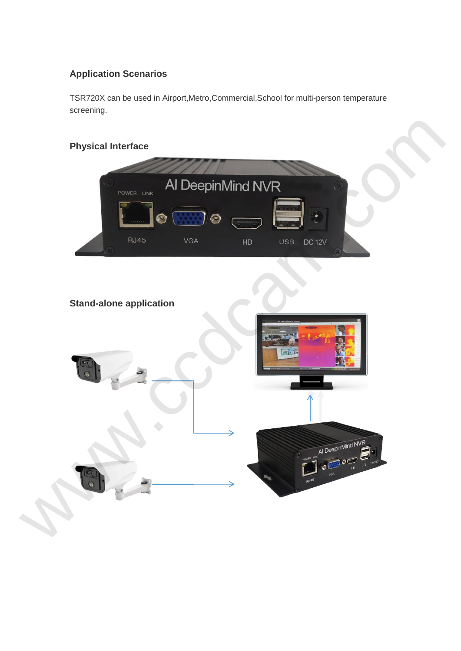### **Application Scenarios**

TSR720X can be used in Airport,Metro,Commercial,School for multi-person temperature screening.

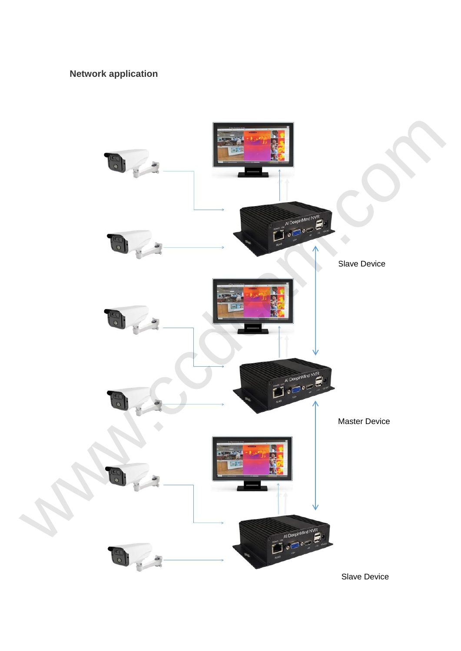### **Network application**